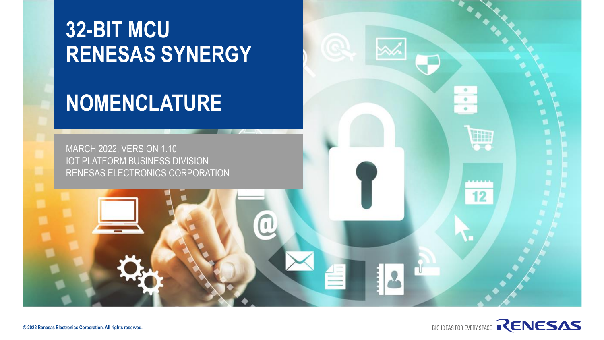# **32-BIT MCU RENESAS SYNERGY**

# **NOMENCLATURE**



٠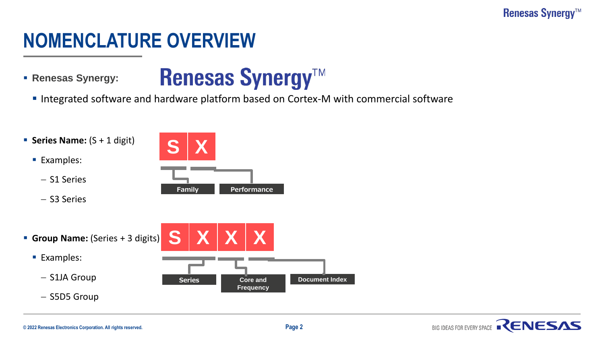#### **Renesas Synergy™**

## **NOMENCLATURE OVERVIEW**

▪ **Renesas Synergy:** 



**.** Integrated software and hardware platform based on Cortex-M with commercial software

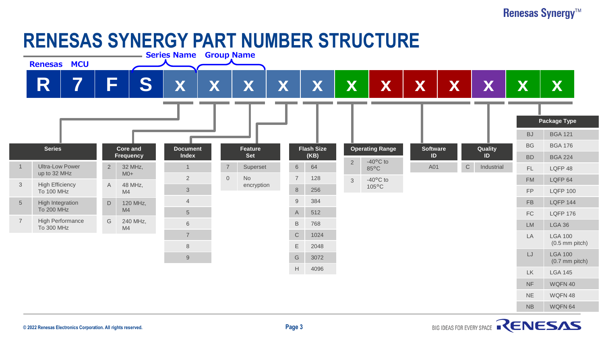#### **Renesas Synergy™**

## **RENESAS SYNERGY PART NUMBER STRUCTURE**

|                | <b>Renesas MCU</b>                    |                |                               |  | <b>Series Name Group Name</b>   |   |                            |   |                |                           |              |                            |                       |   |                           |                      |                                    |  |
|----------------|---------------------------------------|----------------|-------------------------------|--|---------------------------------|---|----------------------------|---|----------------|---------------------------|--------------|----------------------------|-----------------------|---|---------------------------|----------------------|------------------------------------|--|
|                | 7<br>R                                | F              | $\blacksquare$<br>$\mathbf C$ |  | V<br>$\boldsymbol{\Lambda}$     | X | X                          | X |                | X                         | X            | X                          | X                     | X | X                         | X                    | X                                  |  |
|                |                                       |                |                               |  |                                 |   |                            |   |                |                           |              |                            |                       |   |                           |                      | <b>Package Type</b>                |  |
|                |                                       |                |                               |  |                                 |   |                            |   |                |                           |              |                            |                       |   |                           | <b>BJ</b>            | <b>BGA 121</b>                     |  |
| <b>Series</b>  |                                       |                | <b>Core and</b><br>Frequency  |  | <b>Document</b><br><b>Index</b> |   | <b>Feature</b><br>Set      |   |                | <b>Flash Size</b><br>(KB) |              | <b>Operating Range</b>     | <b>Software</b><br>ID |   | Quality<br>ID             | <b>BG</b>            | <b>BGA 176</b>                     |  |
|                | <b>Ultra-Low Power</b>                | $\overline{2}$ | 32 MHz,                       |  | $\overline{1}$                  |   | $\overline{7}$<br>Superset |   | $\,6\,$        | 64                        | $\sqrt{2}$   | $-40^{\circ}$ C to<br>85°C | A01                   |   | $\mathsf C$<br>Industrial | ${\sf BD}$<br>FL     | <b>BGA 224</b><br>LQFP 48          |  |
|                | up to 32 MHz                          |                | $M0+$                         |  | $\sqrt{2}$                      |   | $\mathsf{O}$<br><b>No</b>  |   | $\overline{7}$ | 128                       | $\mathbf{3}$ | $-40^{\circ}$ C to         |                       |   |                           | <b>FM</b>            | LQFP 64                            |  |
| $\mathbf{3}$   | <b>High Efficiency</b><br>To 100 MHz  | A              | 48 MHz,<br>M4                 |  | $\ensuremath{\mathsf{3}}$       |   | encryption                 |   | $\,8\,$        | 256                       |              | $105^{\circ}$ C            |                       |   |                           | FP                   | <b>LQFP 100</b>                    |  |
| $\sqrt{5}$     | High Integration                      | $\mathsf D$    | 120 MHz,<br>M4                |  | $\overline{4}$                  |   |                            |   | $9\,$          | 384                       |              |                            |                       |   |                           | ${\sf FB}$           | <b>LQFP 144</b>                    |  |
|                | To 200 MHz                            |                |                               |  | $\overline{5}$                  |   |                            |   | A              | 512                       |              |                            |                       |   |                           | ${\sf FC}$           | <b>LQFP 176</b>                    |  |
| $\overline{7}$ | <b>High Performance</b><br>To 300 MHz | ${\mathsf G}$  | 240 MHz,<br>M4                |  | $\,6\,$                         |   |                            |   | $\mathsf B$    | 768                       |              |                            |                       |   |                           | <b>LM</b>            | <b>LGA 36</b>                      |  |
|                |                                       |                |                               |  | $\overline{7}$                  |   |                            |   | $\mathsf C$    | 1024                      |              |                            |                       |   |                           | LA                   | <b>LGA 100</b><br>$(0.5$ mm pitch) |  |
|                |                                       |                |                               |  | $\,8\,$                         |   |                            |   | E              | 2048                      |              |                            |                       |   |                           | LJ                   | <b>LGA 100</b>                     |  |
|                |                                       |                |                               |  | 9                               |   |                            |   | G              | 3072                      |              |                            |                       |   |                           |                      | $(0.7$ mm pitch)                   |  |
|                |                                       |                |                               |  |                                 |   |                            |   | H              | 4096                      |              |                            |                       |   |                           | <b>LK</b>            | <b>LGA 145</b>                     |  |
|                |                                       |                |                               |  |                                 |   |                            |   |                |                           |              |                            |                       |   |                           | <b>NF</b>            | WQFN 40                            |  |
|                |                                       |                |                               |  |                                 |   |                            |   |                |                           |              |                            |                       |   |                           | $\mathsf{NE}\xspace$ | WQFN48                             |  |
|                |                                       |                |                               |  |                                 |   |                            |   |                |                           |              |                            |                       |   |                           | NB                   | WQFN 64                            |  |